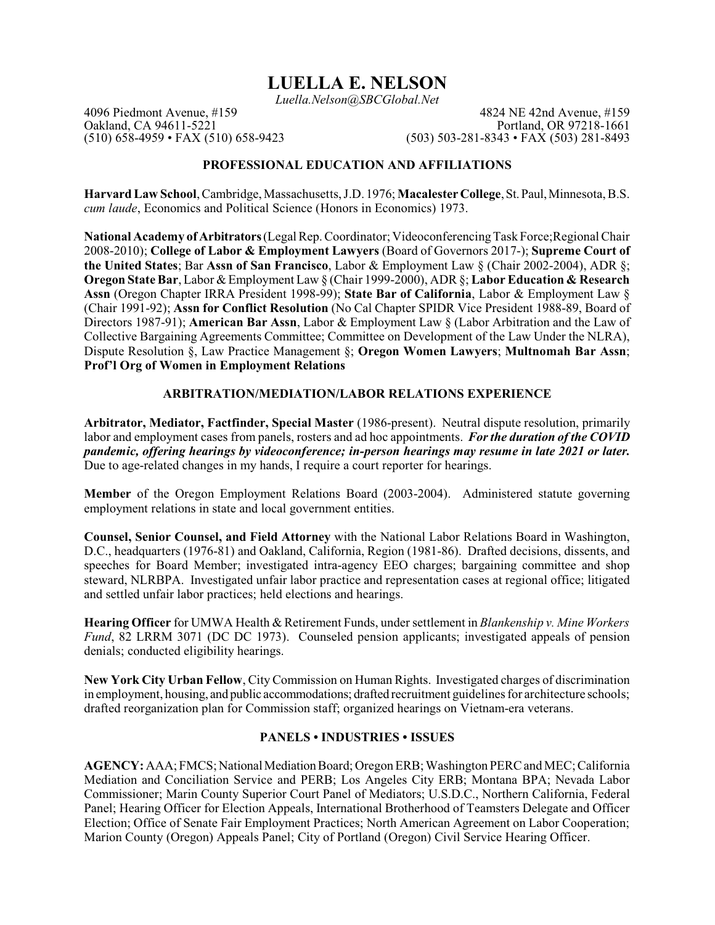# **LUELLA E. NELSON**

*Luella.Nelson@SBCGlobal.Net*

4096 Piedmont Avenue, #159 4824 NE 42nd Avenue, #159 4824 NE 42nd Avenue, #159 4824 NE 42nd Avenue, #159 4824 NE 42nd Avenue, #159 4824 NE 42nd Avenue, #159 4824 NE 42nd Avenue, #159 4824 NE 42nd Avenue, #159 4826 1661 Oakland, CA 94611-5221<br>
(510) 658-4959 • FAX (510) 658-9423 (503) 503-281-8343 • FAX (503) 281-8493  $(503)$  503-281-8343 • FAX (503) 281-8493

## **PROFESSIONAL EDUCATION AND AFFILIATIONS**

**Harvard Law School**, Cambridge, Massachusetts, J.D. 1976; **Macalester College**,St.Paul,Minnesota, B.S. *cum laude*, Economics and Political Science (Honors in Economics) 1973.

**National Academy of Arbitrators**(LegalRep. Coordinator; VideoconferencingTask Force;RegionalChair 2008-2010); **College of Labor & Employment Lawyers** (Board of Governors 2017-); **Supreme Court of the United States**; Bar **Assn of San Francisco**, Labor & Employment Law § (Chair 2002-2004), ADR §; **Oregon State Bar**, Labor & Employment Law § (Chair 1999-2000), ADR §; **Labor Education & Research Assn** (Oregon Chapter IRRA President 1998-99); **State Bar of California**, Labor & Employment Law § (Chair 1991-92); **Assn for Conflict Resolution** (No Cal Chapter SPIDR Vice President 1988-89, Board of Directors 1987-91); **American Bar Assn**, Labor & Employment Law § (Labor Arbitration and the Law of Collective Bargaining Agreements Committee; Committee on Development of the Law Under the NLRA), Dispute Resolution §, Law Practice Management §; **Oregon Women Lawyers**; **Multnomah Bar Assn**; **Prof'l Org of Women in Employment Relations**

## **ARBITRATION/MEDIATION/LABOR RELATIONS EXPERIENCE**

**Arbitrator, Mediator, Factfinder, Special Master** (1986-present). Neutral dispute resolution, primarily labor and employment cases from panels, rosters and ad hoc appointments. *For the duration of the COVID pandemic, offering hearings by videoconference; in-person hearings may resume in late 2021 or later.* Due to age-related changes in my hands, I require a court reporter for hearings.

**Member** of the Oregon Employment Relations Board (2003-2004). Administered statute governing employment relations in state and local government entities.

**Counsel, Senior Counsel, and Field Attorney** with the National Labor Relations Board in Washington, D.C., headquarters (1976-81) and Oakland, California, Region (1981-86). Drafted decisions, dissents, and speeches for Board Member; investigated intra-agency EEO charges; bargaining committee and shop steward, NLRBPA. Investigated unfair labor practice and representation cases at regional office; litigated and settled unfair labor practices; held elections and hearings.

**Hearing Officer** for UMWA Health & Retirement Funds, undersettlement in *Blankenship v. Mine Workers Fund*, 82 LRRM 3071 (DC DC 1973). Counseled pension applicants; investigated appeals of pension denials; conducted eligibility hearings.

**New York City Urban Fellow**, CityCommission on Human Rights. Investigated charges of discrimination in employment, housing, and public accommodations; drafted recruitment guidelines for architecture schools; drafted reorganization plan for Commission staff; organized hearings on Vietnam-era veterans.

## **PANELS • INDUSTRIES • ISSUES**

**AGENCY:** AAA; FMCS; National Mediation Board; Oregon ERB; Washington PERC and MEC; California Mediation and Conciliation Service and PERB; Los Angeles City ERB; Montana BPA; Nevada Labor Commissioner; Marin County Superior Court Panel of Mediators; U.S.D.C., Northern California, Federal Panel; Hearing Officer for Election Appeals, International Brotherhood of Teamsters Delegate and Officer Election; Office of Senate Fair Employment Practices; North American Agreement on Labor Cooperation; Marion County (Oregon) Appeals Panel; City of Portland (Oregon) Civil Service Hearing Officer.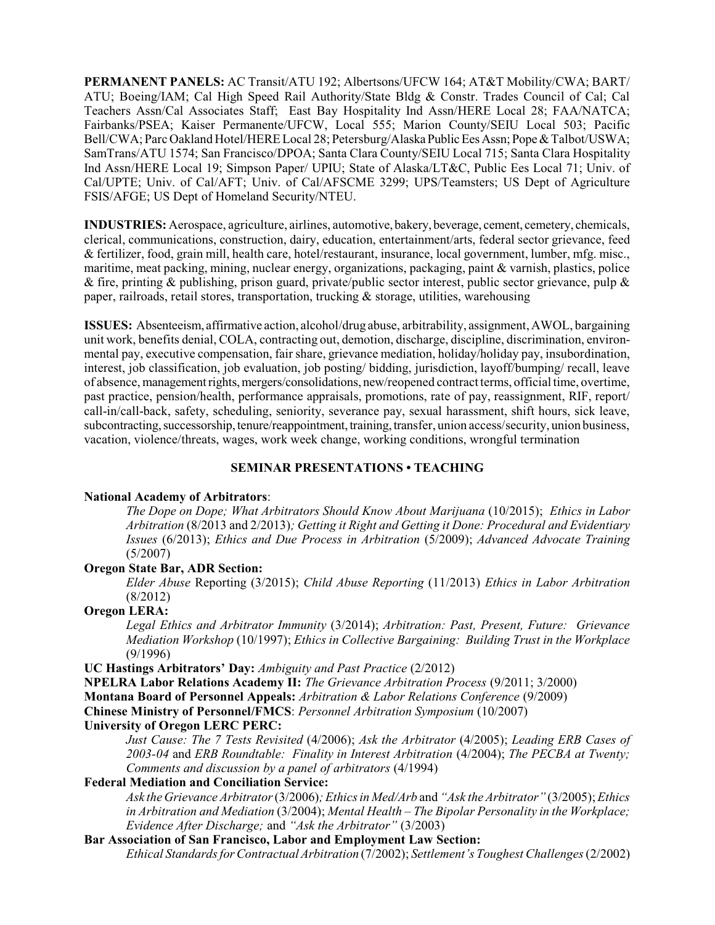**PERMANENT PANELS:** AC Transit/ATU 192; Albertsons/UFCW 164; AT&T Mobility/CWA; BART/ ATU; Boeing/IAM; Cal High Speed Rail Authority/State Bldg & Constr. Trades Council of Cal; Cal Teachers Assn/Cal Associates Staff; East Bay Hospitality Ind Assn/HERE Local 28; FAA/NATCA; Fairbanks/PSEA; Kaiser Permanente/UFCW, Local 555; Marion County/SEIU Local 503; Pacific Bell/CWA; Parc Oakland Hotel/HERE Local 28; Petersburg/Alaska Public Ees Assn; Pope & Talbot/USWA; SamTrans/ATU 1574; San Francisco/DPOA; Santa Clara County/SEIU Local 715; Santa Clara Hospitality Ind Assn/HERE Local 19; Simpson Paper/ UPIU; State of Alaska/LT&C, Public Ees Local 71; Univ. of Cal/UPTE; Univ. of Cal/AFT; Univ. of Cal/AFSCME 3299; UPS/Teamsters; US Dept of Agriculture FSIS/AFGE; US Dept of Homeland Security/NTEU.

**INDUSTRIES:** Aerospace, agriculture, airlines, automotive, bakery, beverage, cement, cemetery, chemicals, clerical, communications, construction, dairy, education, entertainment/arts, federal sector grievance, feed & fertilizer, food, grain mill, health care, hotel/restaurant, insurance, local government, lumber, mfg. misc., maritime, meat packing, mining, nuclear energy, organizations, packaging, paint & varnish, plastics, police & fire, printing & publishing, prison guard, private/public sector interest, public sector grievance, pulp & paper, railroads, retail stores, transportation, trucking & storage, utilities, warehousing

**ISSUES:** Absenteeism, affirmative action, alcohol/drug abuse, arbitrability, assignment, AWOL, bargaining unit work, benefits denial, COLA, contracting out, demotion, discharge, discipline, discrimination, environmental pay, executive compensation, fairshare, grievance mediation, holiday/holiday pay, insubordination, interest, job classification, job evaluation, job posting/ bidding, jurisdiction, layoff/bumping/ recall, leave of absence, managementrights,mergers/consolidations, new/reopened contract terms, official time, overtime, past practice, pension/health, performance appraisals, promotions, rate of pay, reassignment, RIF, report/ call-in/call-back, safety, scheduling, seniority, severance pay, sexual harassment, shift hours, sick leave, subcontracting, successorship, tenure/reappointment, training, transfer, union access/security, union business, vacation, violence/threats, wages, work week change, working conditions, wrongful termination

## **SEMINAR PRESENTATIONS • TEACHING**

#### **National Academy of Arbitrators**:

*The Dope on Dope; What Arbitrators Should Know About Marijuana* (10/2015); *Ethics in Labor Arbitration* (8/2013 and 2/2013)*; Getting it Right and Getting it Done: Procedural and Evidentiary Issues* (6/2013); *Ethics and Due Process in Arbitration* (5/2009); *Advanced Advocate Training* (5/2007)

#### **Oregon State Bar, ADR Section:**

*Elder Abuse* Reporting (3/2015); *Child Abuse Reporting* (11/2013) *Ethics in Labor Arbitration* (8/2012)

#### **Oregon LERA:**

*Legal Ethics and Arbitrator Immunity* (3/2014); *Arbitration: Past, Present, Future: Grievance Mediation Workshop* (10/1997); *Ethics in Collective Bargaining: Building Trust in the Workplace* (9/1996)

**UC Hastings Arbitrators' Day:** *Ambiguity and Past Practice* (2/2012)

**NPELRA Labor Relations Academy II:** *The Grievance Arbitration Process* (9/2011; 3/2000)

**Montana Board of Personnel Appeals:** *Arbitration & Labor Relations Conference* (9/2009)

**Chinese Ministry of Personnel/FMCS**: *Personnel Arbitration Symposium* (10/2007)

## **University of Oregon LERC PERC:**

*Just Cause: The 7 Tests Revisited* (4/2006); *Ask the Arbitrator* (4/2005); *Leading ERB Cases of 2003-04* and *ERB Roundtable: Finality in Interest Arbitration* (4/2004); *The PECBA at Twenty; Comments and discussion by a panel of arbitrators* (4/1994)

# **Federal Mediation and Conciliation Service:**

*Ask the Grievance Arbitrator* (3/2006)*;Ethics in Med/Arb* and *"Ask the Arbitrator"* (3/2005);*Ethics in Arbitration and Mediation* (3/2004); *Mental Health – The Bipolar Personality in the Workplace; Evidence After Discharge;* and *"Ask the Arbitrator"* (3/2003)

## **Bar Association of San Francisco, Labor and Employment Law Section:**

*Ethical Standards for Contractual Arbitration* (7/2002); *Settlement's Toughest Challenges*(2/2002)